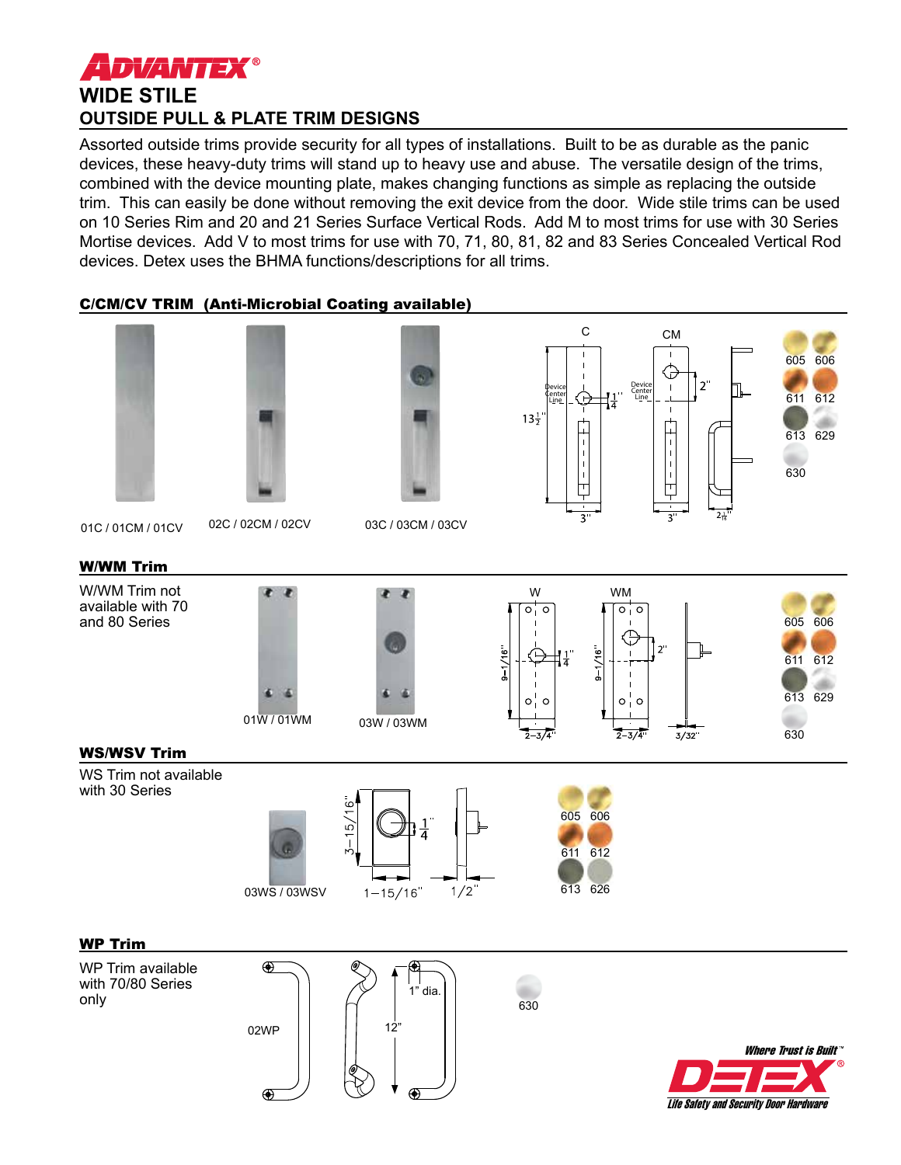# **ADVANTEX® WIDE STILE OUTSIDE PULL & PLATE TRIM DESIGNS**

Assorted outside trims provide security for all types of installations. Built to be as durable as the panic devices, these heavy-duty trims will stand up to heavy use and abuse. The versatile design of the trims, combined with the device mounting plate, makes changing functions as simple as replacing the outside trim. This can easily be done without removing the exit device from the door. Wide stile trims can be used on 10 Series Rim and 20 and 21 Series Surface Vertical Rods. Add M to most trims for use with 30 Series Mortise devices. Add V to most trims for use with 70, 71, 80, 81, 82 and 83 Series Concealed Vertical Rod devices. Detex uses the BHMA functions/descriptions for all trims.

## C/CM/CV TRIM (Anti-Microbial Coating available)